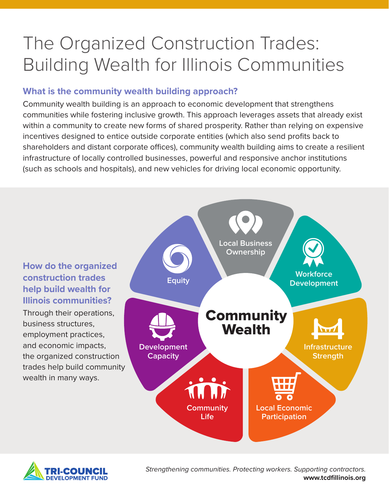# The Organized Construction Trades: Building Wealth for Illinois Communities

# **What is the community wealth building approach?**

Community wealth building is an approach to economic development that strengthens communities while fostering inclusive growth. This approach leverages assets that already exist within a community to create new forms of shared prosperity. Rather than relying on expensive incentives designed to entice outside corporate entities (which also send profits back to shareholders and distant corporate offices), community wealth building aims to create a resilient infrastructure of locally controlled businesses, powerful and responsive anchor institutions (such as schools and hospitals), and new vehicles for driving local economic opportunity.

# **How do the organized construction trades help build wealth for Illinois communities?**

Through their operations, business structures, employment practices, and economic impacts, the organized construction trades help build community wealth in many ways.





*Strengthening communities. Protecting workers. Supporting contractors.*  **www.tcdfillinois.org**